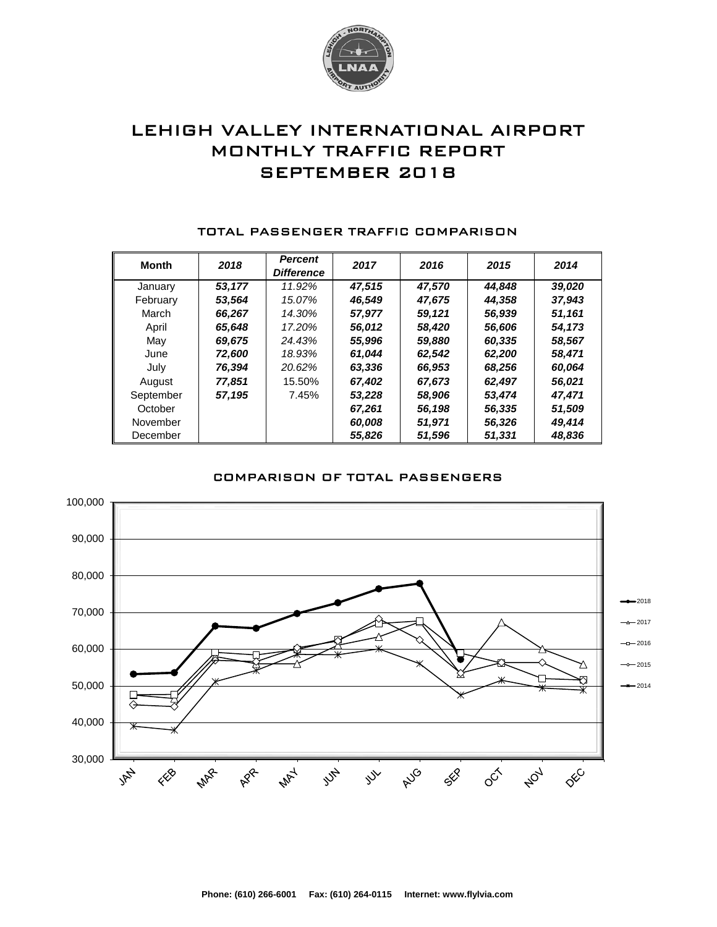

# LEHIGH VALLEY INTERNATIONAL AIRPORT MONTHLY TRAFFIC REPORT SEPTEMBER 2018

| <b>Month</b> | 2018   | <b>Percent</b><br><b>Difference</b> | 2017   | 2016   | 2015   | 2014   |
|--------------|--------|-------------------------------------|--------|--------|--------|--------|
| January      | 53.177 | 11.92%                              | 47.515 | 47,570 | 44,848 | 39,020 |
| February     | 53,564 | 15.07%                              | 46,549 | 47,675 | 44,358 | 37,943 |
| March        | 66.267 | 14.30%                              | 57,977 | 59.121 | 56,939 | 51,161 |
| April        | 65,648 | 17.20%                              | 56,012 | 58,420 | 56,606 | 54,173 |
| May          | 69,675 | 24.43%                              | 55,996 | 59,880 | 60,335 | 58,567 |
| June         | 72,600 | 18.93%                              | 61,044 | 62,542 | 62,200 | 58,471 |
| July         | 76,394 | 20.62%                              | 63,336 | 66,953 | 68,256 | 60,064 |
| August       | 77.851 | 15.50%                              | 67.402 | 67,673 | 62,497 | 56,021 |
| September    | 57,195 | 7.45%                               | 53,228 | 58,906 | 53,474 | 47,471 |
| October      |        |                                     | 67,261 | 56,198 | 56,335 | 51,509 |
| November     |        |                                     | 60,008 | 51,971 | 56,326 | 49,414 |
| December     |        |                                     | 55,826 | 51,596 | 51,331 | 48,836 |

#### TOTAL PASSENGER TRAFFIC COMPARISON



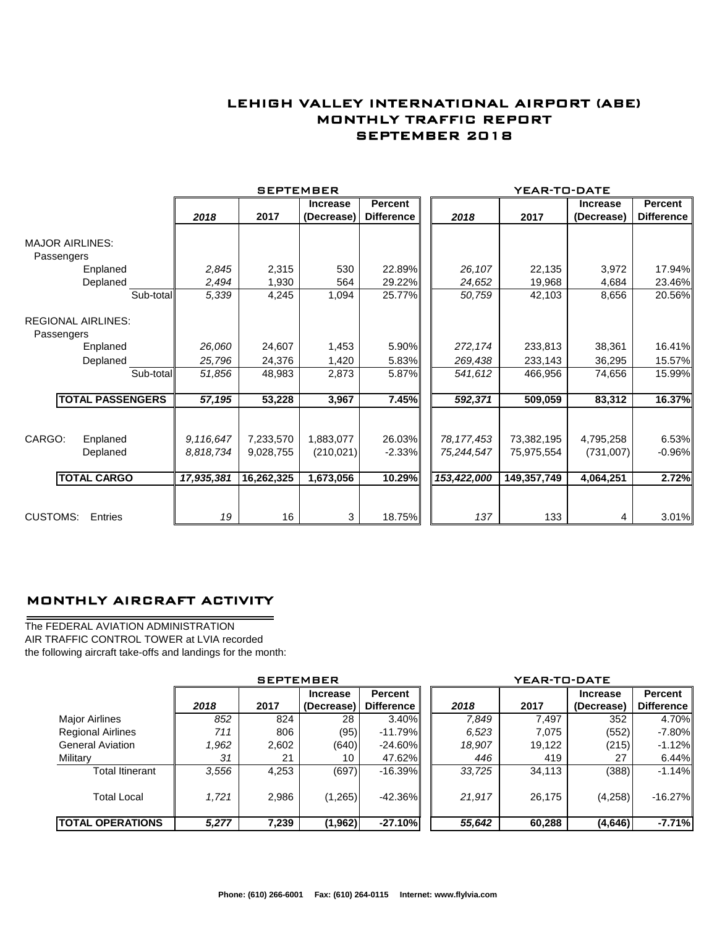### LEHIGH VALLEY INTERNATIONAL AIRPORT (ABE) MONTHLY TRAFFIC REPORT SEPTEMBER 2018

|                                         |           |            | <b>SEPTEMBER</b> |                 |                   |              | YEAR-TO-DATE |                 |                   |
|-----------------------------------------|-----------|------------|------------------|-----------------|-------------------|--------------|--------------|-----------------|-------------------|
|                                         |           |            |                  | <b>Increase</b> | <b>Percent</b>    |              |              | <b>Increase</b> | <b>Percent</b>    |
|                                         |           | 2018       | 2017             | (Decrease)      | <b>Difference</b> | 2018         | 2017         | (Decrease)      | <b>Difference</b> |
| <b>MAJOR AIRLINES:</b>                  |           |            |                  |                 |                   |              |              |                 |                   |
| Passengers                              |           |            |                  |                 |                   |              |              |                 |                   |
| Enplaned                                |           | 2,845      | 2,315            | 530             | 22.89%            | 26,107       | 22,135       | 3,972           | 17.94%            |
| Deplaned                                |           | 2,494      | 1,930            | 564             | 29.22%            | 24,652       | 19,968       | 4,684           | 23.46%            |
|                                         | Sub-total | 5,339      | 4,245            | 1,094           | 25.77%            | 50,759       | 42,103       | 8,656           | 20.56%            |
| <b>REGIONAL AIRLINES:</b><br>Passengers |           |            |                  |                 |                   |              |              |                 |                   |
| Enplaned                                |           | 26,060     | 24,607           | 1,453           | 5.90%             | 272,174      | 233,813      | 38,361          | 16.41%            |
| Deplaned                                |           | 25,796     | 24,376           | 1,420           | 5.83%             | 269,438      | 233,143      | 36,295          | 15.57%            |
|                                         | Sub-total | 51,856     | 48,983           | 2,873           | 5.87%             | 541,612      | 466,956      | 74,656          | 15.99%            |
| <b>TOTAL PASSENGERS</b>                 |           | 57,195     | 53,228           | 3,967           | 7.45%             | 592,371      | 509,059      | 83,312          | 16.37%            |
|                                         |           |            |                  |                 |                   |              |              |                 |                   |
| CARGO:<br>Enplaned                      |           | 9,116,647  | 7,233,570        | 1,883,077       | 26.03%            | 78, 177, 453 | 73,382,195   | 4,795,258       | 6.53%             |
| Deplaned                                |           | 8,818,734  | 9,028,755        | (210, 021)      | $-2.33%$          | 75,244,547   | 75,975,554   | (731,007)       | $-0.96%$          |
| <b>TOTAL CARGO</b>                      |           | 17,935,381 | 16,262,325       | 1,673,056       | 10.29%            | 153,422,000  | 149,357,749  | 4,064,251       | 2.72%             |
|                                         |           |            |                  |                 |                   |              |              |                 |                   |
| <b>CUSTOMS:</b><br>Entries              |           | 19         | 16               | 3               | 18.75%            | 137          | 133          | 4               | 3.01%             |

### MONTHLY AIRCRAFT ACTIVITY

The FEDERAL AVIATION ADMINISTRATION AIR TRAFFIC CONTROL TOWER at LVIA recorded the following aircraft take-offs and landings for the month:

÷.

|                          |       | <b>SEPTEMBER</b> |                               |                                     | YEAR-TO-DATE |        |                               |                       |  |
|--------------------------|-------|------------------|-------------------------------|-------------------------------------|--------------|--------|-------------------------------|-----------------------|--|
|                          | 2018  | 2017             | <b>Increase</b><br>(Decrease) | <b>Percent</b><br><b>Difference</b> | 2018         | 2017   | <b>Increase</b><br>(Decrease) | Percent<br>Difference |  |
| <b>Major Airlines</b>    | 852   | 824              | 28                            | $3.40\%$                            | 7,849        | 7,497  | 352                           | 4.70%                 |  |
| <b>Regional Airlines</b> | 711   | 806              | (95)                          | $-11.79%$                           | 6,523        | 7.075  | (552)                         | $-7.80\%$             |  |
| <b>General Aviation</b>  | 1,962 | 2,602            | (640)                         | $-24.60\%$                          | 18,907       | 19,122 | (215)                         | $-1.12%$              |  |
| Military                 | 31    | 21               | 10                            | 47.62%                              | 446          | 419    | 27                            | 6.44%                 |  |
| <b>Total Itinerant</b>   | 3,556 | 4,253            | (697)                         | $-16.39\%$                          | 33,725       | 34,113 | (388)                         | $-1.14%$              |  |
| <b>Total Local</b>       | 1,721 | 2,986            | (1,265)                       | $-42.36\%$                          | 21,917       | 26.175 | (4,258)                       | $-16.27%$             |  |
| <b>TOTAL OPERATIONS</b>  | 5,277 | 7,239            | (1, 962)                      | $-27.10%$                           | 55,642       | 60,288 | (4, 646)                      | $-7.71%$              |  |